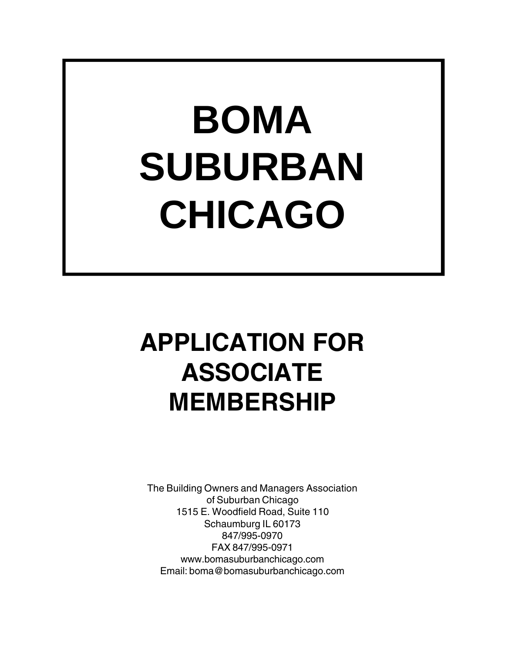## **BOMA SUBURBAN CHICAGO**

### **APPLICATION FOR ASSOCIATE MEMBERSHIP**

The Building Owners and Managers Association of Suburban Chicago 1515 E. Woodfield Road, Suite 110 Schaumburg IL 60173 847/995-0970 FAX 847/995-0971 www.bomasuburbanchicago.com Email: boma@bomasuburbanchicago.com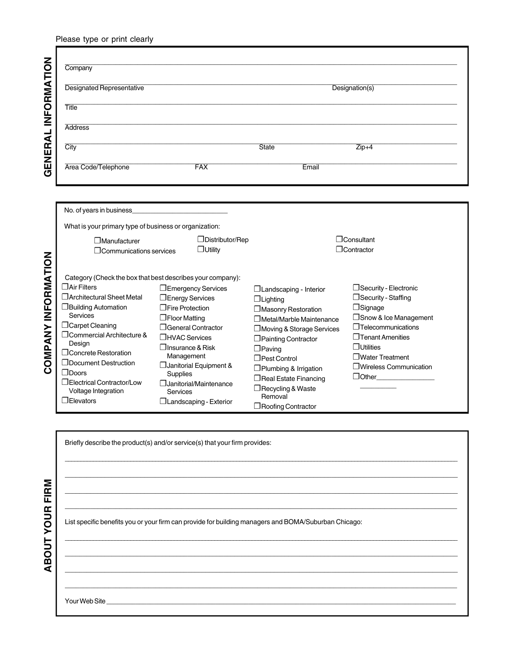| Please type or print clearly |  |  |
|------------------------------|--|--|
|                              |  |  |

|             | Company                          |            |              |                |  |
|-------------|----------------------------------|------------|--------------|----------------|--|
|             | <b>Designated Representative</b> |            |              | Designation(s) |  |
| INFORMATION | <b>Title</b>                     |            |              |                |  |
|             | <b>Address</b>                   |            |              |                |  |
| GENERAL     | City                             |            | <b>State</b> | $Zip+4$        |  |
|             | Area Code/Telephone              | <b>FAX</b> |              | Email          |  |

| Address                                                                                                                                                                                                                                                                                             |                                                                                                                                                                                                                                                                                                                 |                                                                                                                                                                                                                                                                                                             |                                                                                                                                                                                                                        |
|-----------------------------------------------------------------------------------------------------------------------------------------------------------------------------------------------------------------------------------------------------------------------------------------------------|-----------------------------------------------------------------------------------------------------------------------------------------------------------------------------------------------------------------------------------------------------------------------------------------------------------------|-------------------------------------------------------------------------------------------------------------------------------------------------------------------------------------------------------------------------------------------------------------------------------------------------------------|------------------------------------------------------------------------------------------------------------------------------------------------------------------------------------------------------------------------|
| City                                                                                                                                                                                                                                                                                                |                                                                                                                                                                                                                                                                                                                 | State                                                                                                                                                                                                                                                                                                       | $Zip+4$                                                                                                                                                                                                                |
| Area Code/Telephone                                                                                                                                                                                                                                                                                 | <b>FAX</b>                                                                                                                                                                                                                                                                                                      | Email                                                                                                                                                                                                                                                                                                       |                                                                                                                                                                                                                        |
| No. of years in business_                                                                                                                                                                                                                                                                           |                                                                                                                                                                                                                                                                                                                 |                                                                                                                                                                                                                                                                                                             |                                                                                                                                                                                                                        |
| What is your primary type of business or organization:                                                                                                                                                                                                                                              |                                                                                                                                                                                                                                                                                                                 |                                                                                                                                                                                                                                                                                                             |                                                                                                                                                                                                                        |
| <b>7 Manufacturer</b><br>$\Box$ Communications services                                                                                                                                                                                                                                             | Distributor/Rep<br>$\Box$ Utility                                                                                                                                                                                                                                                                               |                                                                                                                                                                                                                                                                                                             | $\Box$ Consultant<br>$\Box$ Contractor                                                                                                                                                                                 |
|                                                                                                                                                                                                                                                                                                     | Category (Check the box that best describes your company):                                                                                                                                                                                                                                                      |                                                                                                                                                                                                                                                                                                             |                                                                                                                                                                                                                        |
| $\Box$ Air Filters<br>□ Architectural Sheet Metal<br><b>Building Automation</b><br>Services<br>Carpet Cleaning<br>O Commercial Architecture &<br>Design<br>O Concrete Restoration<br>Document Destruction<br>$\Box$ Doors<br>D Electrical Contractor/Low<br>Voltage Integration<br>$\Box$ Elevators | <b>T</b> Emergency Services<br><b>I</b> Energy Services<br>□ Fire Protection<br>$\Box$ Floor Matting<br><b>J</b> General Contractor<br>□ HVAC Services<br>$\square$ Insurance & Risk<br>Management<br>Janitorial Equipment &<br>Supplies<br>Janitorial/Maintenance<br>Services<br>$\Box$ Landscaping - Exterior | <b>J</b> Landscaping - Interior<br>$\Box$ Lighting<br>Masonry Restoration<br>□ Metal/Marble Maintenance<br>Moving & Storage Services<br>Painting Contractor<br>$\Box$ Paving<br>Pest Control<br>Plumbing & Irrigation<br>Real Estate Financing<br>Recycling & Waste<br>Removal<br>$\Box$ Roofing Contractor | Security - Electronic<br>Security - Staffing<br>$\Box$ Signage<br>□ Snow & Ice Management<br>$\Box$ Telecommunications<br>$\Box$ Tenant Amenities<br>$\Box$ Utilities<br>□ Water Treatment<br>□ Wireless Communication |
|                                                                                                                                                                                                                                                                                                     | Briefly describe the product(s) and/or service(s) that your firm provides:                                                                                                                                                                                                                                      |                                                                                                                                                                                                                                                                                                             |                                                                                                                                                                                                                        |
|                                                                                                                                                                                                                                                                                                     |                                                                                                                                                                                                                                                                                                                 |                                                                                                                                                                                                                                                                                                             |                                                                                                                                                                                                                        |
|                                                                                                                                                                                                                                                                                                     |                                                                                                                                                                                                                                                                                                                 |                                                                                                                                                                                                                                                                                                             |                                                                                                                                                                                                                        |

| FIRM<br><b>YOUR</b> | List specific benefits you or your firm can provide for building managers and BOMA/Suburban Chicago: |
|---------------------|------------------------------------------------------------------------------------------------------|
| <b>BOUT</b>         |                                                                                                      |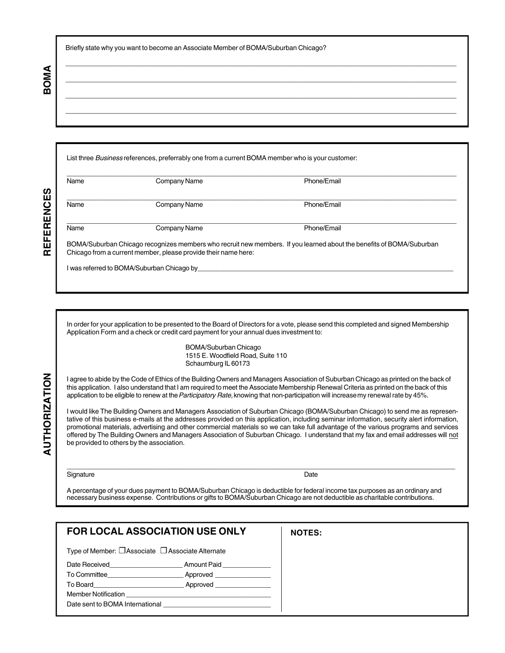\_\_\_\_\_\_\_\_\_\_\_\_\_\_\_\_\_\_\_\_\_\_\_\_\_\_\_\_\_\_\_\_\_\_\_\_\_\_\_\_\_\_\_\_\_\_\_\_\_\_\_\_\_\_\_\_\_\_\_\_\_\_\_\_\_\_\_\_\_\_\_\_\_\_\_\_\_\_\_\_\_\_\_\_\_\_\_\_\_\_\_\_\_\_\_\_\_\_\_\_\_\_\_\_\_\_\_\_ \_\_\_\_\_\_\_\_\_\_\_\_\_\_\_\_\_\_\_\_\_\_\_\_\_\_\_\_\_\_\_\_\_\_\_\_\_\_\_\_\_\_\_\_\_\_\_\_\_\_\_\_\_\_\_\_\_\_\_\_\_\_\_\_\_\_\_\_\_\_\_\_\_\_\_\_\_\_\_\_\_\_\_\_\_\_\_\_\_\_\_\_\_\_\_\_\_\_\_\_\_\_\_\_\_\_\_\_ \_\_\_\_\_\_\_\_\_\_\_\_\_\_\_\_\_\_\_\_\_\_\_\_\_\_\_\_\_\_\_\_\_\_\_\_\_\_\_\_\_\_\_\_\_\_\_\_\_\_\_\_\_\_\_\_\_\_\_\_\_\_\_\_\_\_\_\_\_\_\_\_\_\_\_\_\_\_\_\_\_\_\_\_\_\_\_\_\_\_\_\_\_\_\_\_\_\_\_\_\_\_\_\_\_\_\_\_ \_\_\_\_\_\_\_\_\_\_\_\_\_\_\_\_\_\_\_\_\_\_\_\_\_\_\_\_\_\_\_\_\_\_\_\_\_\_\_\_\_\_\_\_\_\_\_\_\_\_\_\_\_\_\_\_\_\_\_\_\_\_\_\_\_\_\_\_\_\_\_\_\_\_\_\_\_\_\_\_\_\_\_\_\_\_\_\_\_\_\_\_\_\_\_\_\_\_\_\_\_\_\_\_\_\_\_\_

Briefly state why you want to become an Associate Member of BOMA/Suburban Chicago?

|      | List three Business references, preferrably one from a current BOMA member who is your customer: |                                                                                                                                                                                                                                                                                                                                                                                                                        |
|------|--------------------------------------------------------------------------------------------------|------------------------------------------------------------------------------------------------------------------------------------------------------------------------------------------------------------------------------------------------------------------------------------------------------------------------------------------------------------------------------------------------------------------------|
| Name | Company Name                                                                                     | Phone/Email                                                                                                                                                                                                                                                                                                                                                                                                            |
| Name | <b>Company Name</b>                                                                              | Phone/Email                                                                                                                                                                                                                                                                                                                                                                                                            |
| Name | <b>Company Name</b>                                                                              | Phone/Email                                                                                                                                                                                                                                                                                                                                                                                                            |
|      |                                                                                                  |                                                                                                                                                                                                                                                                                                                                                                                                                        |
|      | Application Form and a check or credit card payment for your annual dues investment to:          | In order for your application to be presented to the Board of Directors for a vote, please send this completed and signed Membership                                                                                                                                                                                                                                                                                   |
|      | BOMA/Suburban Chicago<br>1515 E. Woodfield Road, Suite 110<br>Schaumburg IL 60173                |                                                                                                                                                                                                                                                                                                                                                                                                                        |
|      |                                                                                                  |                                                                                                                                                                                                                                                                                                                                                                                                                        |
|      |                                                                                                  | I agree to abide by the Code of Ethics of the Building Owners and Managers Association of Suburban Chicago as printed on the back of<br>this application. I also understand that I am required to meet the Associate Membership Renewal Criteria as printed on the back of this<br>application to be eligible to renew at the Participatory Rate, knowing that non-participation will increase my renewal rate by 45%. |

\_\_\_\_\_\_\_\_\_\_\_\_\_\_\_\_\_\_\_\_\_\_\_\_\_\_\_\_\_\_\_\_\_\_\_\_\_\_\_\_\_\_\_\_\_\_\_\_\_\_\_\_\_\_\_\_\_\_\_\_\_\_\_\_\_\_\_\_\_\_\_\_\_\_\_\_\_\_\_\_\_\_\_\_\_\_\_\_\_\_\_\_\_\_\_\_\_\_\_\_\_\_\_\_\_\_\_ Signature Date Date of the Contract of the Contract of the Contract of the Date Date Date Date

A percentage of your dues payment to BOMA/Suburban Chicago is deductible for federal income tax purposes as an ordinary and necessary business expense. Contributions or gifts to BOMA/Suburban Chicago are not deductible as charitable contributions.

| <b>FOR LOCAL ASSOCIATION USE ONLY</b>                       | <b>NOTES:</b>                                                                                                                                                                                                                 |  |
|-------------------------------------------------------------|-------------------------------------------------------------------------------------------------------------------------------------------------------------------------------------------------------------------------------|--|
| Type of Member: $\Box$ Associate $\Box$ Associate Alternate |                                                                                                                                                                                                                               |  |
|                                                             | Date Received <b>Example 2 Amount Paid</b>                                                                                                                                                                                    |  |
|                                                             | To Committee <b>Approved</b>                                                                                                                                                                                                  |  |
|                                                             |                                                                                                                                                                                                                               |  |
|                                                             | <b>Member Notification</b> Member 2014                                                                                                                                                                                        |  |
|                                                             | Date sent to BOMA International example of the sense of the sense of the sense of the sense of the sense of the sense of the sense of the sense of the sense of the sense of the sense of the sense of the sense of the sense |  |
|                                                             |                                                                                                                                                                                                                               |  |

# **AUTHORIZATION**